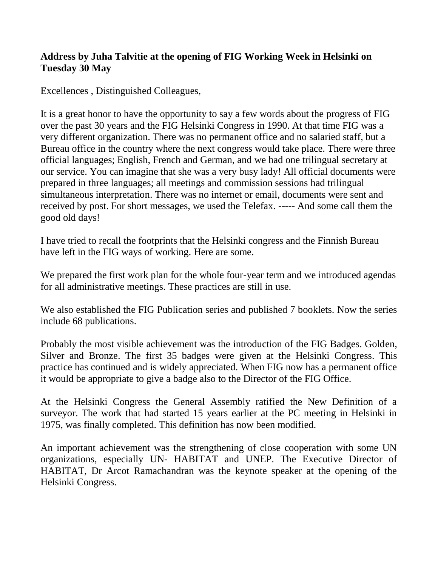## **Address by Juha Talvitie at the opening of FIG Working Week in Helsinki on Tuesday 30 May**

Excellences , Distinguished Colleagues,

It is a great honor to have the opportunity to say a few words about the progress of FIG over the past 30 years and the FIG Helsinki Congress in 1990. At that time FIG was a very different organization. There was no permanent office and no salaried staff, but a Bureau office in the country where the next congress would take place. There were three official languages; English, French and German, and we had one trilingual secretary at our service. You can imagine that she was a very busy lady! All official documents were prepared in three languages; all meetings and commission sessions had trilingual simultaneous interpretation. There was no internet or email, documents were sent and received by post. For short messages, we used the Telefax. ----- And some call them the good old days!

I have tried to recall the footprints that the Helsinki congress and the Finnish Bureau have left in the FIG ways of working. Here are some.

We prepared the first work plan for the whole four-year term and we introduced agendas for all administrative meetings. These practices are still in use.

We also established the FIG Publication series and published 7 booklets. Now the series include 68 publications.

Probably the most visible achievement was the introduction of the FIG Badges. Golden, Silver and Bronze. The first 35 badges were given at the Helsinki Congress. This practice has continued and is widely appreciated. When FIG now has a permanent office it would be appropriate to give a badge also to the Director of the FIG Office.

At the Helsinki Congress the General Assembly ratified the New Definition of a surveyor. The work that had started 15 years earlier at the PC meeting in Helsinki in 1975, was finally completed. This definition has now been modified.

An important achievement was the strengthening of close cooperation with some UN organizations, especially UN- HABITAT and UNEP. The Executive Director of HABITAT, Dr Arcot Ramachandran was the keynote speaker at the opening of the Helsinki Congress.